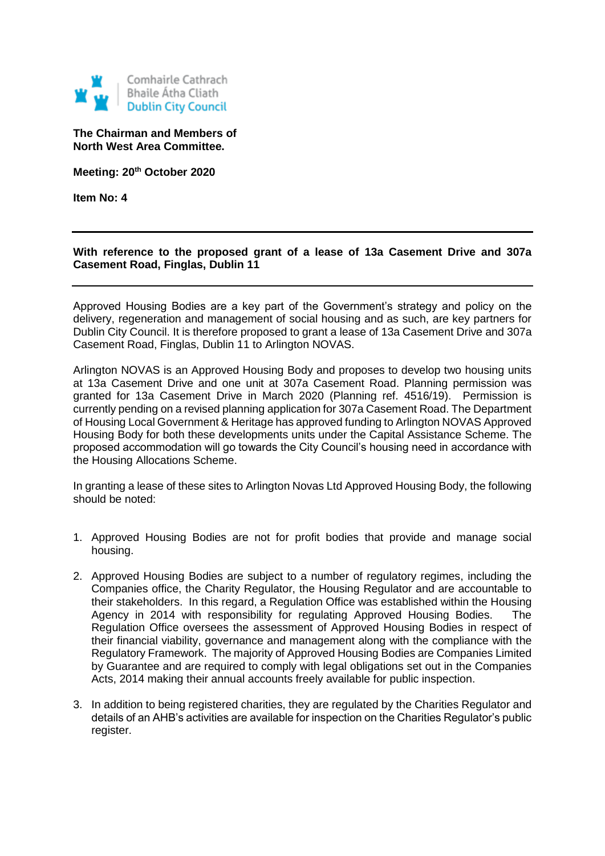

## **The Chairman and Members of North West Area Committee.**

**Meeting: 20th October 2020**

**Item No: 4**

## **With reference to the proposed grant of a lease of 13a Casement Drive and 307a Casement Road, Finglas, Dublin 11**

Approved Housing Bodies are a key part of the Government's strategy and policy on the delivery, regeneration and management of social housing and as such, are key partners for Dublin City Council. It is therefore proposed to grant a lease of 13a Casement Drive and 307a Casement Road, Finglas, Dublin 11 to Arlington NOVAS.

Arlington NOVAS is an Approved Housing Body and proposes to develop two housing units at 13a Casement Drive and one unit at 307a Casement Road. Planning permission was granted for 13a Casement Drive in March 2020 (Planning ref. 4516/19). Permission is currently pending on a revised planning application for 307a Casement Road. The Department of Housing Local Government & Heritage has approved funding to Arlington NOVAS Approved Housing Body for both these developments units under the Capital Assistance Scheme. The proposed accommodation will go towards the City Council's housing need in accordance with the Housing Allocations Scheme.

In granting a lease of these sites to Arlington Novas Ltd Approved Housing Body, the following should be noted:

- 1. Approved Housing Bodies are not for profit bodies that provide and manage social housing.
- 2. Approved Housing Bodies are subject to a number of regulatory regimes, including the Companies office, the Charity Regulator, the Housing Regulator and are accountable to their stakeholders. In this regard, a Regulation Office was established within the Housing Agency in 2014 with responsibility for regulating Approved Housing Bodies. The Regulation Office oversees the assessment of Approved Housing Bodies in respect of their financial viability, governance and management along with the compliance with the Regulatory Framework. The majority of Approved Housing Bodies are Companies Limited by Guarantee and are required to comply with legal obligations set out in the Companies Acts, 2014 making their annual accounts freely available for public inspection.
- 3. In addition to being registered charities, they are regulated by the Charities Regulator and details of an AHB's activities are available for inspection on the Charities Regulator's public register.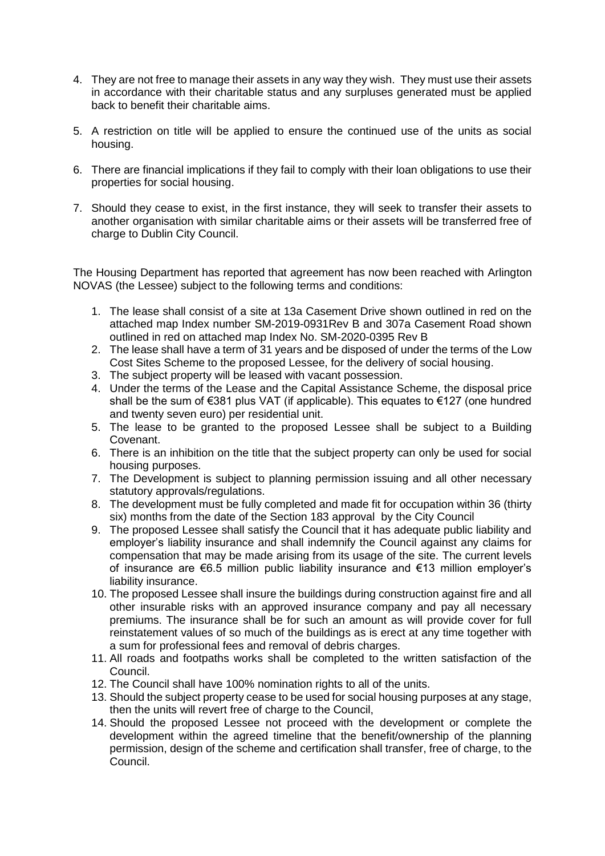- 4. They are not free to manage their assets in any way they wish. They must use their assets in accordance with their charitable status and any surpluses generated must be applied back to benefit their charitable aims.
- 5. A restriction on title will be applied to ensure the continued use of the units as social housing.
- 6. There are financial implications if they fail to comply with their loan obligations to use their properties for social housing.
- 7. Should they cease to exist, in the first instance, they will seek to transfer their assets to another organisation with similar charitable aims or their assets will be transferred free of charge to Dublin City Council.

The Housing Department has reported that agreement has now been reached with Arlington NOVAS (the Lessee) subject to the following terms and conditions:

- 1. The lease shall consist of a site at 13a Casement Drive shown outlined in red on the attached map Index number SM-2019-0931Rev B and 307a Casement Road shown outlined in red on attached map Index No. SM-2020-0395 Rev B
- 2. The lease shall have a term of 31 years and be disposed of under the terms of the Low Cost Sites Scheme to the proposed Lessee, for the delivery of social housing.
- 3. The subject property will be leased with vacant possession.
- 4. Under the terms of the Lease and the Capital Assistance Scheme, the disposal price shall be the sum of €381 plus VAT (if applicable). This equates to €127 (one hundred and twenty seven euro) per residential unit.
- 5. The lease to be granted to the proposed Lessee shall be subject to a Building Covenant.
- 6. There is an inhibition on the title that the subject property can only be used for social housing purposes.
- 7. The Development is subject to planning permission issuing and all other necessary statutory approvals/regulations.
- 8. The development must be fully completed and made fit for occupation within 36 (thirty six) months from the date of the Section 183 approval by the City Council
- 9. The proposed Lessee shall satisfy the Council that it has adequate public liability and employer's liability insurance and shall indemnify the Council against any claims for compensation that may be made arising from its usage of the site. The current levels of insurance are €6.5 million public liability insurance and €13 million employer's liability insurance.
- 10. The proposed Lessee shall insure the buildings during construction against fire and all other insurable risks with an approved insurance company and pay all necessary premiums. The insurance shall be for such an amount as will provide cover for full reinstatement values of so much of the buildings as is erect at any time together with a sum for professional fees and removal of debris charges.
- 11. All roads and footpaths works shall be completed to the written satisfaction of the Council.
- 12. The Council shall have 100% nomination rights to all of the units.
- 13. Should the subject property cease to be used for social housing purposes at any stage, then the units will revert free of charge to the Council,
- 14. Should the proposed Lessee not proceed with the development or complete the development within the agreed timeline that the benefit/ownership of the planning permission, design of the scheme and certification shall transfer, free of charge, to the Council.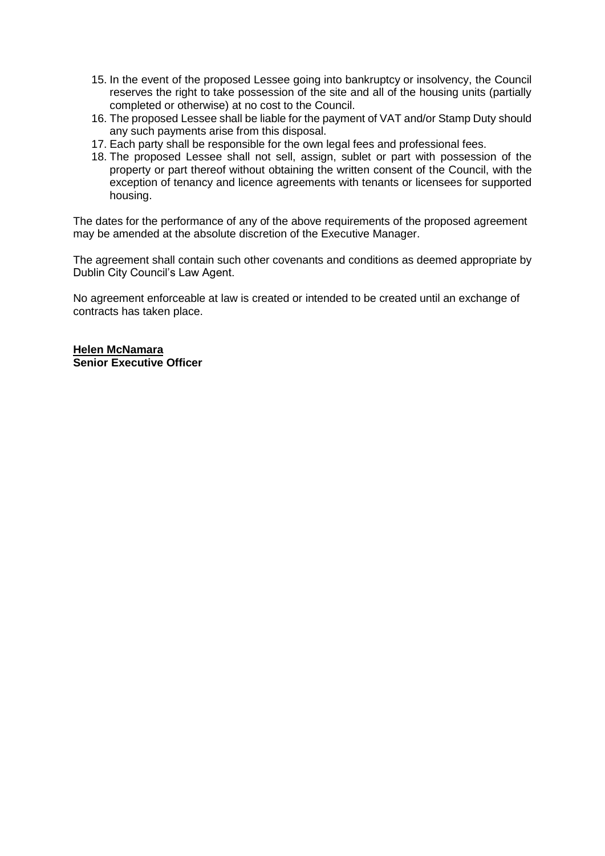- 15. In the event of the proposed Lessee going into bankruptcy or insolvency, the Council reserves the right to take possession of the site and all of the housing units (partially completed or otherwise) at no cost to the Council.
- 16. The proposed Lessee shall be liable for the payment of VAT and/or Stamp Duty should any such payments arise from this disposal.
- 17. Each party shall be responsible for the own legal fees and professional fees.
- 18. The proposed Lessee shall not sell, assign, sublet or part with possession of the property or part thereof without obtaining the written consent of the Council, with the exception of tenancy and licence agreements with tenants or licensees for supported housing.

The dates for the performance of any of the above requirements of the proposed agreement may be amended at the absolute discretion of the Executive Manager.

The agreement shall contain such other covenants and conditions as deemed appropriate by Dublin City Council's Law Agent.

No agreement enforceable at law is created or intended to be created until an exchange of contracts has taken place.

**Helen McNamara Senior Executive Officer**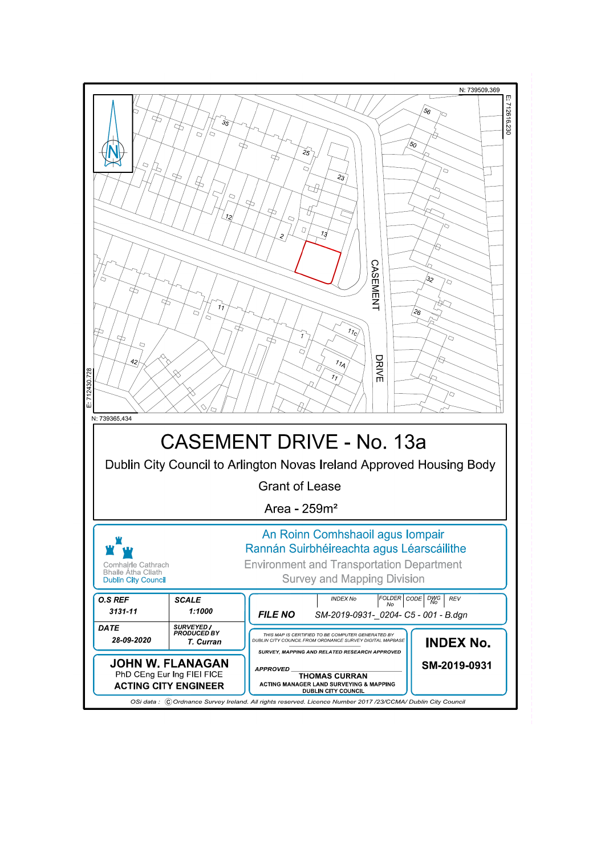